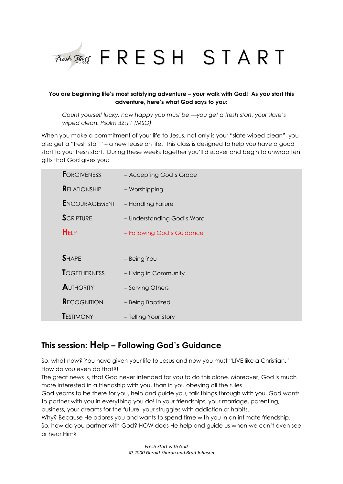

# **You are beginning life's most satisfying adventure – your walk with God! As you start this adventure, here's what God says to you:**

*Count yourself lucky, how happy you must be —you get a fresh start, your slate's wiped clean. Psalm 32:11 (MSG)*

When you make a commitment of your life to Jesus, not only is your "slate wiped clean", you also get a "fresh start" – a new lease on life. This class is designed to help you have a good start to your fresh start. During these weeks together you'll discover and begin to unwrap ten gifts that God gives you:

| <b>FORGIVENESS</b>   | - Accepting God's Grace    |
|----------------------|----------------------------|
| <b>RELATIONSHIP</b>  | - Worshipping              |
| <b>ENCOURAGEMENT</b> | - Handling Failure         |
| <b>SCRIPTURE</b>     | - Understanding God's Word |
| <b>HELP</b>          | - Following God's Guidance |
|                      |                            |
| <b>SHAPE</b>         | - Being You                |
| <b>TOGETHERNESS</b>  | - Living in Community      |
| <b>AUTHORITY</b>     | - Serving Others           |
| <b>RECOGNITION</b>   | - Being Baptized           |
| <b>TESTIMONY</b>     | - Telling Your Story       |

# **This session: Help – Following God's Guidance**

So, what now? You have given your life to Jesus and now you must "LIVE like a Christian." How do you even do that?!

The great news is, that God never intended for you to do this alone. Moreover, God is much more interested in a friendship with you, than in you obeying all the rules.

God yearns to be there for you, help and guide you, talk things through with you. God wants to partner with you in everything you do! In your friendships, your marriage, parenting, business, your dreams for the future, your struggles with addiction or habits.

Why? Because He adores you and wants to spend time with you in an intimate friendship. So, how do you partner with God? HOW does He help and guide us when we can't even see or hear Him?

> *Fresh Start with God © 2000 Gerald Sharon and Brad Johnson*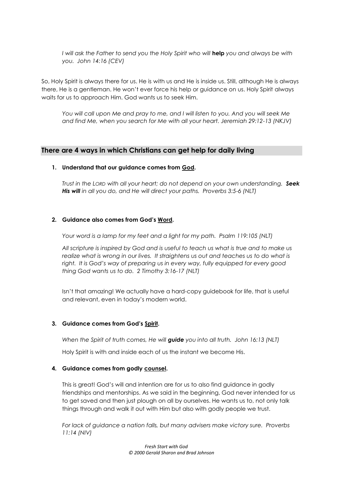*I will ask the Father to send you the Holy Spirit who will* **help** *you and always be with you. John 14:16 (CEV)*

So, Holy Spirit is always there for us. He is with us and He is inside us. Still, although He is always there, He is a gentleman. He won't ever force his help or guidance on us. Holy Spirit always waits for us to approach Him. God wants us to seek Him.

*You will call upon Me and pray to me, and I will listen to you. And you will seek Me and find Me, when you search for Me with all your heart. Jeremiah 29:12-13 (NKJV)*

# **There are 4 ways in which Christians can get help for daily living**

#### **1. Understand that our guidance comes from God.**

*Trust in the LORD with all your heart; do not depend on your own understanding. Seek His will in all you do, and He will direct your paths. Proverbs 3:5-6 (NLT)*

#### **2. Guidance also comes from God's Word.**

*Your word is a lamp for my feet and a light for my path. Psalm 119:105 (NLT)*

*All scripture is inspired by God and is useful to teach us what is true and to make us realize what is wrong in our lives. It straightens us out and teaches us to do what is right. It is God's way of preparing us in every way, fully equipped for every good thing God wants us to do. 2 Timothy 3:16-17 (NLT)*

Isn't that amazing! We actually have a hard-copy guidebook for life, that is useful and relevant, even in today's modern world.

#### **3. Guidance comes from God's Spirit.**

*When the Spirit of truth comes, He will guide you into all truth. John 16:13 (NLT)*

Holy Spirit is with and inside each of us the instant we become His.

#### **4. Guidance comes from godly counsel.**

This is great! God's will and intention are for us to also find guidance in godly friendships and mentorships. As we said in the beginning, God never intended for us to get saved and then just plough on all by ourselves. He wants us to, not only talk things through and walk it out with Him but also with godly people we trust.

*For lack of guidance a nation falls, but many advisers make victory sure. Proverbs 11:14 (NIV)*

> *Fresh Start with God © 2000 Gerald Sharon and Brad Johnson*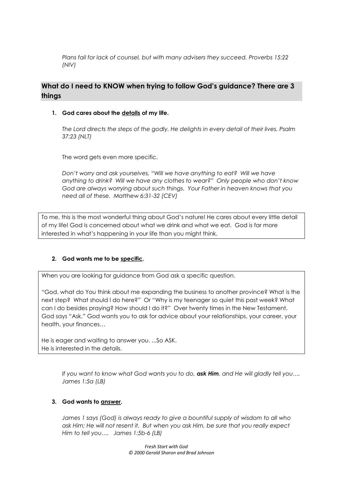*Plans fail for lack of counsel, but with many advisers they succeed. Proverbs 15:22 (NIV)*

# **What do I need to KNOW when trying to follow God's guidance? There are 3 things**

## **1. God cares about the details of my life.**

*The Lord directs the steps of the godly. He delights in every detail of their lives. Psalm 37:23 (NLT)*

The word gets even more specific.

*Don't worry and ask yourselves, "Will we have anything to eat? Will we have anything to drink? Will we have any clothes to wear?" Only people who don't know God are always worrying about such things. Your Father in heaven knows that you need all of these. Matthew 6:31-32 (CEV)*

To me, this is the most wonderful thing about God's nature! He cares about every little detail of my life! God is concerned about what we drink and what we eat. God is far more interested in what's happening in your life than you might think.

# **2. God wants me to be specific.**

When you are looking for guidance from God ask a specific question.

"God, what do You think about me expanding the business to another province? What is the next step? What should I do here?" Or "Why is my teenager so quiet this past week? What can I do besides praying? How should I do it?" Over twenty times in the New Testament, God says "Ask." God wants you to ask for advice about your relationships, your career, your health, your finances…

He is eager and waiting to answer you. ...So ASK. He is interested in the details.

> *If you want to know what God wants you to do, ask Him, and He will gladly tell you…. James 1:5a (LB)*

# **3. God wants to answer.**

*James 1 says (God) is always ready to give a bountiful supply of wisdom to all who ask Him; He will not resent it. But when you ask Him, be sure that you really expect Him to tell you…. James 1:5b-6 (LB)*

> *Fresh Start with God © 2000 Gerald Sharon and Brad Johnson*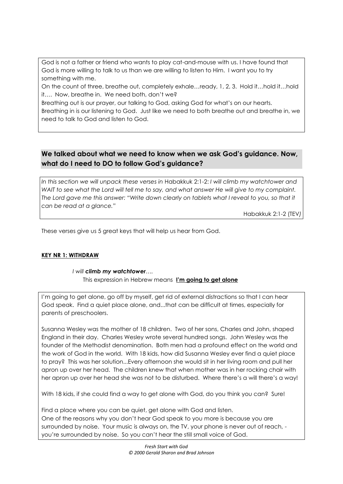God is not a father or friend who wants to play cat-and-mouse with us. I have found that God is more willing to talk to us than we are willing to listen to Him. I want you to try something with me.

On the count of three, breathe out, completely exhale…ready, 1, 2, 3. Hold it…hold it…hold it…. Now, breathe in. We need both, don't we?

Breathing out is our prayer, our talking to God, asking God for what's on our hearts. Breathing in is our listening to God. Just like we need to both breathe out and breathe in, we need to talk to God and listen to God.

# **We talked about what we need to know when we ask God's guidance. Now, what do I need to DO to follow God's guidance?**

*In this section we will unpack these verses in* Habakkuk 2:1-2: *I will climb my watchtower and WAIT to see what the Lord will tell me to say, and what answer He will give to my complaint. The Lord gave me this answer: "Write down clearly on tablets what I reveal to you, so that it can be read at a glance."* 

Habakkuk 2:1-2 (TEV*)*

These verses give us 5 great keys that will help us hear from God.

# **KEY NR 1: WITHDRAW**

# *I will climb my watchtower….*

This expression in Hebrew means **I'm going to get alone**

I'm going to get alone, go off by myself, get rid of external distractions so that I can hear God speak. Find a quiet place alone, and...that can be difficult at times, especially for parents of preschoolers.

Susanna Wesley was the mother of 18 children. Two of her sons, Charles and John, shaped England in their day. Charles Wesley wrote several hundred songs. John Wesley was the founder of the Methodist denomination. Both men had a profound effect on the world and the work of God in the world. With 18 kids, how did Susanna Wesley ever find a quiet place to pray? This was her solution...Every afternoon she would sit in her living room and pull her apron up over her head. The children knew that when mother was in her rocking chair with her apron up over her head she was not to be disturbed. Where there's a will there's a way!

With 18 kids, if she could find a way to get alone with God, do you think you can? Sure!

Find a place where you can be quiet, get alone with God and listen. One of the reasons why you don't hear God speak to you more is because you are surrounded by noise. Your music is always on, the TV, your phone is never out of reach, you're surrounded by noise. So you can't hear the still small voice of God.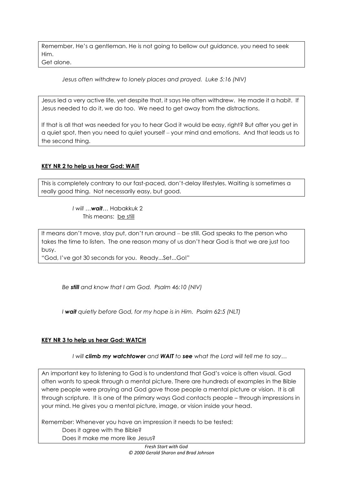Remember, He's a gentleman. He is not going to bellow out guidance, you need to seek Him.

Get alone.

*Jesus often withdrew to lonely places and prayed. Luke 5:16 (NIV)*

Jesus led a very active life, yet despite that, it says He often withdrew. He made it a habit. If Jesus needed to do it, we do too. We need to get away from the distractions.

If that is all that was needed for you to hear God it would be easy, right? But after you get in a quiet spot, then you need to quiet yourself ‒ your mind and emotions. And that leads us to the second thing.

# **KEY NR 2 to help us hear God: WAIT**

This is completely contrary to our fast-paced, don't-delay lifestyles. Waiting is sometimes a really good thing. Not necessarily easy, but good.

> *I will …wait…* Habakkuk 2 This means: be still

It means don't move, stay put, don't run around – be still. God speaks to the person who takes the time to listen. The one reason many of us don't hear God is that we are just too busy.

"God, I've got 30 seconds for you. Ready...Set...Go!"

*Be still and know that I am God. Psalm 46:10 (NIV)*

*I wait quietly before God, for my hope is in Him. Psalm 62:5 (NLT)*

# **KEY NR 3 to help us hear God: WATCH**

*I will climb my watchtower and WAIT to see what the Lord will tell me to say…*

An important key to listening to God is to understand that God's voice is often visual. God often wants to speak through a mental picture. There are hundreds of examples in the Bible where people were praying and God gave those people a mental picture or vision. It is all through scripture. It is one of the primary ways God contacts people – through impressions in your mind. He gives you a mental picture, image, or vision inside your head.

Remember: Whenever you have an impression it needs to be tested:

Does it agree with the Bible?

Does it make me more like Jesus?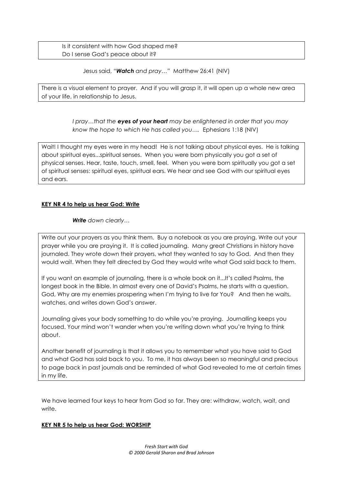Is it consistent with how God shaped me? Do I sense God's peace about it?

Jesus said, *"Watch and pray…"* Matthew 26:41 (NIV)

There is a visual element to prayer. And if you will grasp it, it will open up a whole new area of your life, in relationship to Jesus.

> *I pray…that the eyes of your heart may be enlightened in order that you may know the hope to which He has called you….* Ephesians 1:18 (NIV)

Wait! I thought my eyes were in my head! He is not talking about physical eyes. He is talking about spiritual eyes...spiritual senses. When you were born physically you got a set of physical senses. Hear, taste, touch, smell, feel. When you were born spiritually you got a set of spiritual senses: spiritual eyes, spiritual ears. We hear and see God with our spiritual eyes and ears.

### **KEY NR 4 to help us hear God: Write**

*Write down clearly…*

Write out your prayers as you think them. Buy a notebook as you are praying. Write out your prayer while you are praying it. It is called journaling. Many great Christians in history have journaled. They wrote down their prayers, what they wanted to say to God. And then they would wait. When they felt directed by God they would write what God said back to them.

If you want an example of journaling, there is a whole book on it...It's called Psalms, the longest book in the Bible. In almost every one of David's Psalms, he starts with a question. God, Why are my enemies prospering when I'm trying to live for You? And then he waits, watches, and writes down God's answer.

Journaling gives your body something to do while you're praying. Journalling keeps you focused. Your mind won't wander when you're writing down what you're trying to think about.

Another benefit of journaling is that it allows you to remember what you have said to God and what God has said back to you. To me, it has always been so meaningful and precious to page back in past journals and be reminded of what God revealed to me at certain times in my life.

We have learned four keys to hear from God so far. They are: withdraw, watch, wait, and write.

### **KEY NR 5 to help us hear God: WORSHIP**